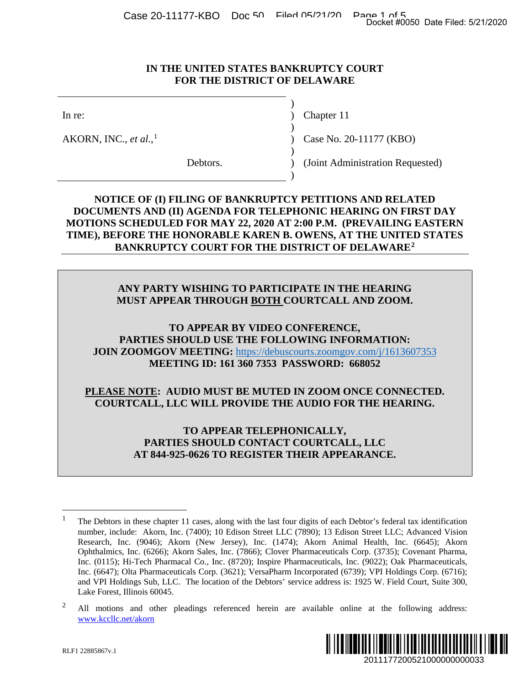Case 20-11177-KBO Doc 50 Filed 05/21/20 Page 1 of 5<br>Docket #0050 Date Filed: 5/21/2020

#### **IN THE UNITED STATES BANKRUPTCY COURT FOR THE DISTRICT OF DELAWARE**

)

)

 $\lambda$ 

)

AKORN, INC., *et al.*,

In re: (a) Chapter 11

) Case No. 20-[1](#page-0-0)1177 (KBO)

Debtors. (Joint Administration Requested)

### **NOTICE OF (I) FILING OF BANKRUPTCY PETITIONS AND RELATED DOCUMENTS AND (II) AGENDA FOR TELEPHONIC HEARING ON FIRST DAY MOTIONS SCHEDULED FOR MAY 22, 2020 AT 2:00 P.M. (PREVAILING EASTERN TIME), BEFORE THE HONORABLE KAREN B. OWENS, AT THE UNITED STATES BANKRUPTCY COURT FOR THE DISTRICT OF DELAWARE[2](#page-0-1)**

### **ANY PARTY WISHING TO PARTICIPATE IN THE HEARING MUST APPEAR THROUGH BOTH COURTCALL AND ZOOM.**

**TO APPEAR BY VIDEO CONFERENCE, PARTIES SHOULD USE THE FOLLOWING INFORMATION: JOIN ZOOMGOV MEETING:** [https://debuscourts.zoomgov.com/j/1613607353](https://protect-us.mimecast.com/s/OxSGCkRO7Vfq7Jx9C2rvt5?domain=debuscourts.zoomgov.com) **MEETING ID: 161 360 7353 PASSWORD: 668052**

#### **PLEASE NOTE: AUDIO MUST BE MUTED IN ZOOM ONCE CONNECTED. COURTCALL, LLC WILL PROVIDE THE AUDIO FOR THE HEARING.**

**TO APPEAR TELEPHONICALLY, PARTIES SHOULD CONTACT COURTCALL, LLC AT 844-925-0626 TO REGISTER THEIR APPEARANCE.**

<span id="page-0-1"></span><span id="page-0-0"></span><sup>&</sup>lt;sup>2</sup> All motions and other pleadings referenced herein are available online at the following address: [www.kccllc.net/akorn](https://protect-us.mimecast.com/s/ze1fCDkJ87CO1VmgTW-b1L?domain=kccllc.net)



<sup>&</sup>lt;sup>1</sup> The Debtors in these chapter 11 cases, along with the last four digits of each Debtor's federal tax identification number, include: Akorn, Inc. (7400); 10 Edison Street LLC (7890); 13 Edison Street LLC; Advanced Vision Research, Inc. (9046); Akorn (New Jersey), Inc. (1474); Akorn Animal Health, Inc. (6645); Akorn Ophthalmics, Inc. (6266); Akorn Sales, Inc. (7866); Clover Pharmaceuticals Corp. (3735); Covenant Pharma, Inc. (0115); Hi-Tech Pharmacal Co., Inc. (8720); Inspire Pharmaceuticals, Inc. (9022); Oak Pharmaceuticals, Inc. (6647); Olta Pharmaceuticals Corp. (3621); VersaPharm Incorporated (6739); VPI Holdings Corp. (6716); and VPI Holdings Sub, LLC. The location of the Debtors' service address is: 1925 W. Field Court, Suite 300, Lake Forest, Illinois 60045. Docket #0050 Date Filed: 5/21/2020<br>
2011<br>
2017 (KBO)<br>
2017<br>
2017<br>
2018 DRELATED<br>
2019 ND RELATED<br>
2019 FIRST DAY<br>
2019 THE UNITED STATES<br>
2019 THE ARING<br>
2019 THE ARING.<br>
2012 Proper Filed Content State Proper State Proper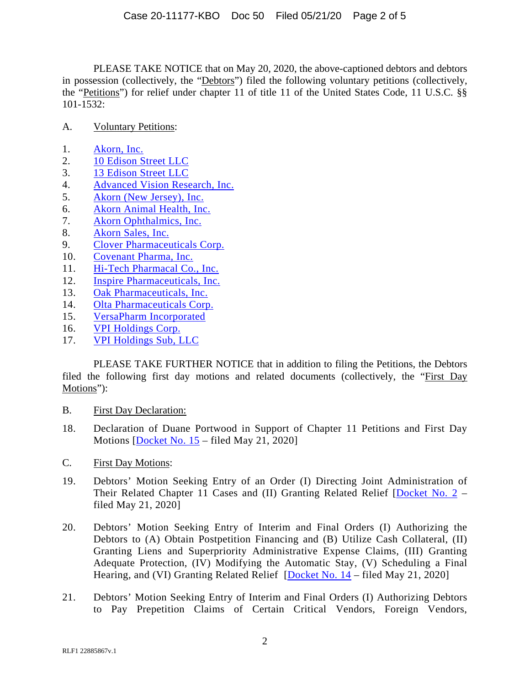PLEASE TAKE NOTICE that on May 20, 2020, the above-captioned debtors and debtors in possession (collectively, the "Debtors") filed the following voluntary petitions (collectively, the "Petitions") for relief under chapter 11 of title 11 of the United States Code, 11 U.S.C. §§ 101-1532:

#### A. Voluntary Petitions:

- 1. [Akorn, Inc.](http://www.kccllc.net/akorn/document/2011177200520000000000001)
- 2. [10 Edison Street LLC](http://www.kccllc.net/akorn/document/2011177200520000000000003)
- 3. [13 Edison Street LLC](http://www.kccllc.net/akorn/document/2011177200520000000000004)
- 4. [Advanced Vision Research, Inc.](http://www.kccllc.net/akorn/document/2011177200520000000000005)
- 5. [Akorn \(New Jersey\), Inc.](http://www.kccllc.net/akorn/document/2011177200520000000000006)
- 6. [Akorn Animal Health, Inc.](http://www.kccllc.net/akorn/document/2011177200520000000000007)
- 7. [Akorn Ophthalmics, Inc.](http://www.kccllc.net/akorn/document/2011177200520000000000008)
- 8. [Akorn Sales, Inc.](http://www.kccllc.net/akorn/document/2011177200520000000000002)
- 9. [Clover Pharmaceuticals Corp.](http://www.kccllc.net/akorn/document/2011177200520000000000009)
- 10. [Covenant Pharma, Inc.](http://www.kccllc.net/akorn/document/2011177200520000000000010)
- 11. [Hi-Tech Pharmacal Co., Inc.](http://www.kccllc.net/akorn/document/2011177200520000000000011)
- 12. [Inspire Pharmaceuticals, Inc.](http://www.kccllc.net/akorn/document/2011177200520000000000012)
- 13. [Oak Pharmaceuticals, Inc.](http://www.kccllc.net/akorn/document/2011177200520000000000014)
- 14. [Olta Pharmaceuticals Corp.](http://www.kccllc.net/akorn/document/2011177200520000000000013)
- 15. [VersaPharm Incorporated](http://www.kccllc.net/akorn/document/2011177200520000000000018)
- 16. [VPI Holdings Corp.](http://www.kccllc.net/akorn/document/2011177200520000000000017)
- 17. [VPI Holdings Sub, LLC](http://www.kccllc.net/akorn/document/2011177200520000000000019)

PLEASE TAKE FURTHER NOTICE that in addition to filing the Petitions, the Debtors filed the following first day motions and related documents (collectively, the "First Day Motions"):

- B. First Day Declaration:
- 18. Declaration of Duane Portwood in Support of Chapter 11 Petitions and First Day Motions [\[Docket No. 15](http://www.kccllc.net/akorn/document/2011177200520000000000033) – filed May 21, 2020]
- C. First Day Motions:
- 19. Debtors' Motion Seeking Entry of an Order (I) Directing Joint Administration of Their Related Chapter 11 Cases and (II) Granting Related Relief [\[Docket No. 2](http://www.kccllc.net/akorn/document/2011177200520000000000020) – filed May 21, 2020]
- 20. Debtors' Motion Seeking Entry of Interim and Final Orders (I) Authorizing the Debtors to (A) Obtain Postpetition Financing and (B) Utilize Cash Collateral, (II) Granting Liens and Superpriority Administrative Expense Claims, (III) Granting Adequate Protection, (IV) Modifying the Automatic Stay, (V) Scheduling a Final Hearing, and (VI) Granting Related Relief [\[Docket No. 14](http://www.kccllc.net/akorn/document/2011177200520000000000032) – filed May 21, 2020]
- 21. Debtors' Motion Seeking Entry of Interim and Final Orders (I) Authorizing Debtors to Pay Prepetition Claims of Certain Critical Vendors, Foreign Vendors,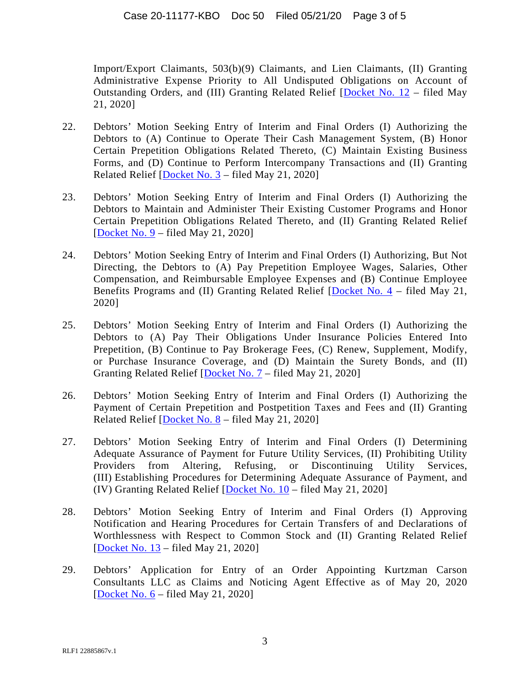Import/Export Claimants, 503(b)(9) Claimants, and Lien Claimants, (II) Granting Administrative Expense Priority to All Undisputed Obligations on Account of Outstanding Orders, and (III) Granting Related Relief [\[Docket No. 12](http://www.kccllc.net/akorn/document/2011177200520000000000030) – filed May 21, 2020]

- 22. Debtors' Motion Seeking Entry of Interim and Final Orders (I) Authorizing the Debtors to (A) Continue to Operate Their Cash Management System, (B) Honor Certain Prepetition Obligations Related Thereto, (C) Maintain Existing Business Forms, and (D) Continue to Perform Intercompany Transactions and (II) Granting Related Relief  $[Docket No. 3 - filed May 21, 2020]$  $[Docket No. 3 - filed May 21, 2020]$
- 23. Debtors' Motion Seeking Entry of Interim and Final Orders (I) Authorizing the Debtors to Maintain and Administer Their Existing Customer Programs and Honor Certain Prepetition Obligations Related Thereto, and (II) Granting Related Relief [\[Docket No. 9](http://www.kccllc.net/akorn/document/2011177200520000000000027) – filed May 21, 2020]
- 24. Debtors' Motion Seeking Entry of Interim and Final Orders (I) Authorizing, But Not Directing, the Debtors to (A) Pay Prepetition Employee Wages, Salaries, Other Compensation, and Reimbursable Employee Expenses and (B) Continue Employee Benefits Programs and (II) Granting Related Relief [\[Docket No. 4](http://www.kccllc.net/akorn/document/2011177200520000000000022) – filed May 21, 2020]
- 25. Debtors' Motion Seeking Entry of Interim and Final Orders (I) Authorizing the Debtors to (A) Pay Their Obligations Under Insurance Policies Entered Into Prepetition, (B) Continue to Pay Brokerage Fees, (C) Renew, Supplement, Modify, or Purchase Insurance Coverage, and (D) Maintain the Surety Bonds, and (II) Granting Related Relief [\[Docket No. 7](http://www.kccllc.net/akorn/document/2011177200520000000000025) – filed May 21, 2020]
- 26. Debtors' Motion Seeking Entry of Interim and Final Orders (I) Authorizing the Payment of Certain Prepetition and Postpetition Taxes and Fees and (II) Granting Related Relief [\[Docket No. 8](http://www.kccllc.net/akorn/document/2011177200520000000000026) – filed May 21, 2020]
- 27. Debtors' Motion Seeking Entry of Interim and Final Orders (I) Determining Adequate Assurance of Payment for Future Utility Services, (II) Prohibiting Utility Providers from Altering, Refusing, or Discontinuing Utility Services, (III) Establishing Procedures for Determining Adequate Assurance of Payment, and (IV) Granting Related Relief [\[Docket No. 10](http://www.kccllc.net/akorn/document/2011177200520000000000028) – filed May 21, 2020]
- 28. Debtors' Motion Seeking Entry of Interim and Final Orders (I) Approving Notification and Hearing Procedures for Certain Transfers of and Declarations of Worthlessness with Respect to Common Stock and (II) Granting Related Relief [\[Docket No. 13](http://www.kccllc.net/akorn/document/2011177200520000000000031) – filed May 21, 2020]
- 29. Debtors' Application for Entry of an Order Appointing Kurtzman Carson Consultants LLC as Claims and Noticing Agent Effective as of May 20, 2020 [\[Docket No. 6](http://www.kccllc.net/akorn/document/2011177200520000000000024) – filed May 21, 2020]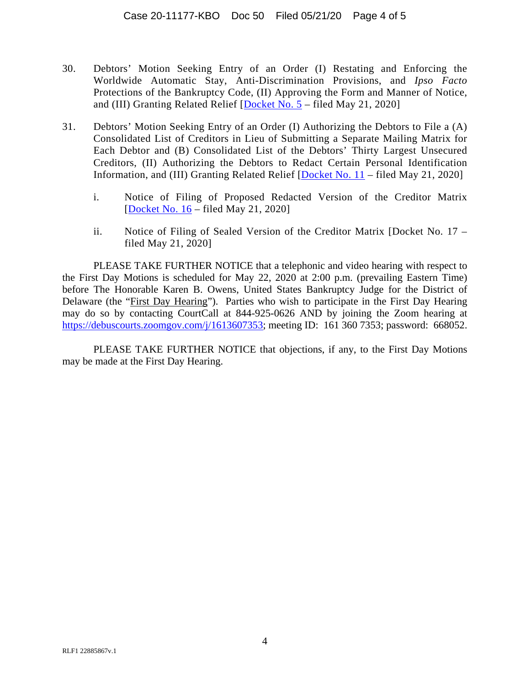- 30. Debtors' Motion Seeking Entry of an Order (I) Restating and Enforcing the Worldwide Automatic Stay, Anti-Discrimination Provisions, and *Ipso Facto*  Protections of the Bankruptcy Code, (II) Approving the Form and Manner of Notice, and (III) Granting Related Relief  $[Docket No. 5 - filed May 21, 2020]$  $[Docket No. 5 - filed May 21, 2020]$
- 31. Debtors' Motion Seeking Entry of an Order (I) Authorizing the Debtors to File a (A) Consolidated List of Creditors in Lieu of Submitting a Separate Mailing Matrix for Each Debtor and (B) Consolidated List of the Debtors' Thirty Largest Unsecured Creditors, (II) Authorizing the Debtors to Redact Certain Personal Identification Information, and (III) Granting Related Relief [\[Docket No. 11](http://www.kccllc.net/akorn/document/2011177200520000000000029) – filed May 21, 2020]
	- i. Notice of Filing of Proposed Redacted Version of the Creditor Matrix [\[Docket No. 16](http://www.kccllc.net/akorn/document/2011177200521000000000001) – filed May 21, 2020]
	- ii. Notice of Filing of Sealed Version of the Creditor Matrix [Docket No. 17 filed May 21, 2020]

PLEASE TAKE FURTHER NOTICE that a telephonic and video hearing with respect to the First Day Motions is scheduled for May 22, 2020 at 2:00 p.m. (prevailing Eastern Time) before The Honorable Karen B. Owens, United States Bankruptcy Judge for the District of Delaware (the "First Day Hearing"). Parties who wish to participate in the First Day Hearing may do so by contacting CourtCall at 844-925-0626 AND by joining the Zoom hearing at [https://debuscourts.zoomgov.com/j/1613607353;](https://protect-us.mimecast.com/s/OxSGCkRO7Vfq7Jx9C2rvt5?domain=debuscourts.zoomgov.com) meeting ID: 161 360 7353; password: 668052.

PLEASE TAKE FURTHER NOTICE that objections, if any, to the First Day Motions may be made at the First Day Hearing.